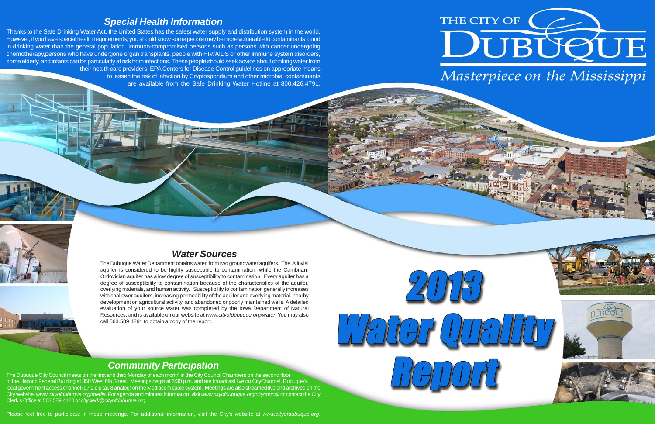### *Community Participation*

The Dubuque City Council meets on the first and third Monday of each month in the City Council Chambers on the second floor of the Historic Federal Building at 350 West 6th Street. Meetings begin at 6:30 p.m. and are broadcast live on CityChannel, Dubuque's local government access channel (97.2 digital, 8 analog) on the Mediacom cable system. Meetings are also streamed live and archived on the City website, *www. cityofdubuque.org/media*. For agenda and minutes information, visit *www.cityofdubuque.org/citycouncil* or contact the City Clerk's Office at 563.589.4120 or *cityclerk@cityofdubuque.org*.

Please feel free to participate in these meetings. For additional information, visit the City's website at *www.cityofdubuque.org*.



### *Special Health Information*

Thanks to the Safe Drinking Water Act, the United States has the safest water supply and distribution system in the world. However, if you have special health requirements, you should know some people may be more vulnerable to contaminants found in drinking water than the general population. Immuno-compromised persons such as persons with cancer undergoing chemotherapy,persons who have undergone organ transplants, people with HIV/AIDS or other immune system disorders, some elderly, and infants can be particularly at risk from infections. These people should seek advice about drinking water fro m their health care providers. EPA Centers for Disease Control guidelines on appropriate means to lessen the risk of infection by Cryptosporidium and other microbial contaminants

are available from the Safe Drinking Water Hotline at 800.426.4791.





# *Water Sources*

The Dubuque Water Department obtains water from two groundwater aquifers. The Alluvial aquifer is considered to be highly susceptible to contamination, while the Cambrian-Ordovician aquifer has a low degree of susceptibility to contamination. Every aquifer has a degree of susceptibility to contamination because of the characteristics of the aquifer, overlying materials, and human activity. Susceptibility to contamination generally increases with shallower aquifers, increasing permeability of the aquifer and overlying material, nearby development or agricultural activity, and abandoned or poorly maintained wells. A detailed evaluation of your source water was completed by the Iowa Department of Natural Resources, and is available on our website at *www.cityofdubuque.org/water*. You may also call 563.589.4291 to obtain a copy of the report.